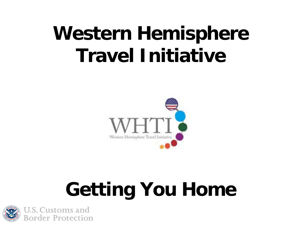## **Western Hemisphere Travel Initiative**



# **Getting You Home**

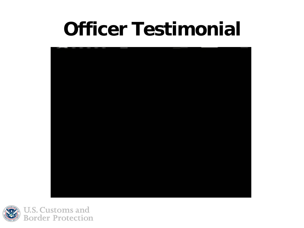### **Officer Testimonial**



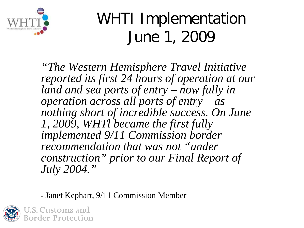

#### WHTI Implementation June 1, 2009

*"The Western Hemisphere Travel Initiative reported its first 24 hours of operation at our land and sea ports of entry – now fully in operation across all ports of entry – as nothing short of incredible success. On June 1, 2009, WHTl became the first fully implemented 9/11 Commission border recommendation that was not "under construction" prior to our Final Report of July 2004."*

- Janet Kephart, 9/11 Commission Member

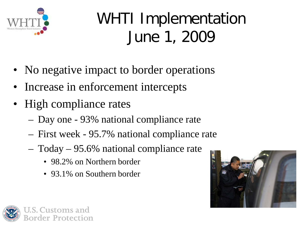

#### WHTI Implementation June 1, 2009

- No negative impact to border operations
- Increase in enforcement intercepts
- High compliance rates
	- Day one 93% national compliance rate
	- First week 95.7% national compliance rate
	- Today 95.6% national compliance rate
		- 98.2% on Northern border
		- 93.1% on Southern border



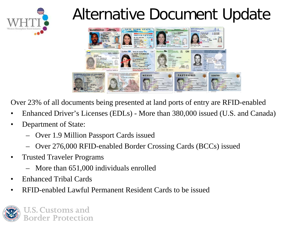

#### Alternative Document Update



Over 23% of all documents being presented at land ports of entry are RFID-enabled

- Enhanced Driver's Licenses (EDLs) More than 380,000 issued (U.S. and Canada)
- Department of State:
	- Over 1.9 Million Passport Cards issued
	- Over 276,000 RFID-enabled Border Crossing Cards (BCCs) issued
- Trusted Traveler Programs
	- More than 651,000 individuals enrolled
- Enhanced Tribal Cards
- RFID-enabled Lawful Permanent Resident Cards to be issued

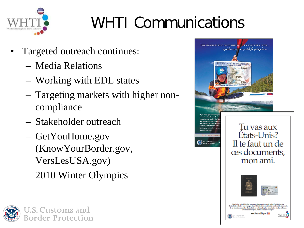

### WHTI Communications

- Targeted outreach continues:
	- Media Relations
	- Working with EDL states
	- Targeting markets with higher noncompliance
	- Stakeholder outreach
	- GetYouHome.gov (KnowYourBorder.gov, VersLesUSA.gov)
	- 2010 Winter Olympics



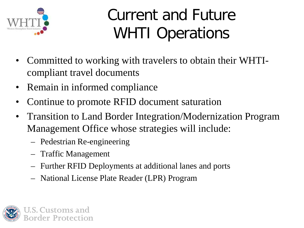

#### Current and Future WHTI Operations

- Committed to working with travelers to obtain their WHTIcompliant travel documents
- Remain in informed compliance
- Continue to promote RFID document saturation
- Transition to Land Border Integration/Modernization Program Management Office whose strategies will include:
	- Pedestrian Re-engineering
	- Traffic Management
	- Further RFID Deployments at additional lanes and ports
	- National License Plate Reader (LPR) Program